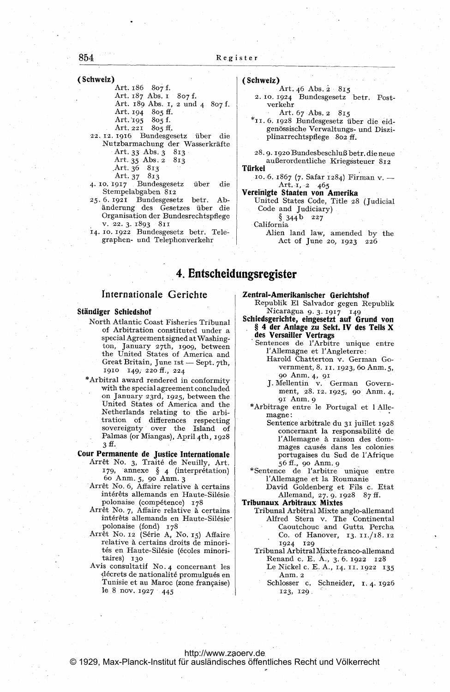## 854

(Schweiz)

Art. 186 807 f.

- Art. 187 Abs. 1 807 f.
- Art. 189 Abs. 1, 2 und 4 807 f.
- Art. 194 805 ff.
- Art. 195 805 f.<br>Art. 221 805 ff.
	-
- 22. 12. 1916 Bundesgesetz über die Nutzbarmachung der Wasserkräfte Art. 33 Abs. 3 813<br>Art. 35 Abs. 2 813
	-
	- Art.  $36$  813
	- Art. 37 813
- Bundesgesetz 4. 10. 1917 über die Stempelabgaben 812
- 25.6.1921 Bundesgesetz betr. Abänderung des Gesetzes über die Organisation der Bundesrechtspflege v. 22. 3. 1893 811
- 14. 10. 1922 Bundesgesetz betr. Telegraphen- und Telephonverkehr

## (Schweiz)

- Art. 46 Abs. 2 815
- 2. 10. 1924 Bundesgesetz betr. Postverkehr
- Art. 67 Abs. 2 815
- \*11.6.1928 Bundesgesetz über die eidgenössische Verwaltungs- und Disziplinarrechtspflege 802 ff.
- 28.9.1920 Bundesbeschluß betr. die neue außerordentliche Kriegssteuer 812

### Türkei

10. 6. 1867 (7. Safar 1284) Firman v. -Art. 1, 2  $-465$ 

- Vereinigte Staaten von Amerika
	- United States Code, Title 28 (Judicial Code and Judiciary)

 $§ 344b 227$ California

Alien land law, amended by the Act of June 20, 1923 226

## .4. Entscheidungsregister

- special Agreement signed at Washingthe United States of America and I'Allemagne et l'Angleterre:<br>
Great Britain, June ist -- Sept. 7th.<br>
Great Britain, June ist -- Sept. 7th. Sept. 7th, Harold Chatterton v. German Go-<br>Great Britain, June 1st - Sept. 7th, Harold Chatterton v. German Go-
- \*Arbitral award rendered in conformity With the special agreement concluded<br>
on January 23rd, 1925, between the gi Anm. 9<br>
United States of America and the stating to the arbitrage entre le Portugal et 1 Alle-<br>
Netherlands relating to the arbitrage entre le Por Netherlands relating to the arbi-<br>
tration of differences respecting<br>
sovereignty over the Island of<br>
Palmas (or Miangas), April 4th, 1928<br>
Tallemagne à raison des dom-

- 179, annexe § 4 (interprétation) \*Sentence de l'arbitre unique 60 Anm. 5, 90 Anm. 3 l'Allemagne et la Roumanie
- Arrêt No. 6, Affaire relative à certains David Goldenberg et Fils c. Etat intérêts allemands en Haute-Silésie | Allemand, 27.9. 1928 87 ff. polonaise (compétence) 178 | Tribunaux Arbitraux Mixtes
- 
- relative à certains droits de minori-  $|$  1924 129
- Avis consultatif No. 4 concernant les Le Nickel c. E. A., 14. 11. 1922 135 décrets de nationalité promulgués en Anm. 2 Tunisie et au Maroc (zone française) | Schlosser c. Schneider, 1.4. 1926 le 8 nov. 1927 445 123, 129

Internationale Gerichte and Zentral-Amerikanischer Gerichtshof

- Republik El Salvador gegen Republik Ständiger Schiedshof<br>Nicaragua 9.3. 1917 149<br>North Atlantic Coast Fisheries Tribunal Schiedsgerichte, eingesetzt auf Grund von
	- North Atlantic Coast Fisheries Tribunal<br>of Arbitration constituted under a § 4 der Anlage zu Sekt. IV des Teils X<br>origid Arraemanteigned at Washing. des Versailler Vertrags
		- Sentences de l'Arbitre unique entre l'Allemagne et l'Angleterre:
		- 1910 149; 220 ff., 224 vernment, 8. II. 1923, 60 Anm. 5,<br>
		1910 149; 220 ff., 224 vernment, 8. II. 1923, 60 Anm. 5,<br>
		1910 149; 220 ff., 224 J. Mellentin v. German Govern-
			-
			-
- 3 ff. mages causés dans les colonies Cour Permanente de Justice Internationale portugaises du Sud de l'Afrique Arrêt No. 3, Traité de Neuilly, Art. 56 ff., 90 Anm. 9
	- 179, annexe se 4 (interpretence de l'arbitre unique entre
		-

Arrêt No. 7, Affaire relative à certains Tribunal Arbitral Mixte anglo-allemand intérêts allemands en Haute-Silésie<sup>-</sup> Alfred Stern v. The Continental polonaise (fond) 178 Caoutchouc and Gutta Percha Arrêt No. 12 (Série A, No. 15) Affaire | Co. of Hanover, 13. 11./18. 12

tés en Haute-Silésie (écoles minori- Tribunal Arbitral Mixte franco-allemand taires) 130 Renand c. E. A., 3.6. 1922 128

- 
-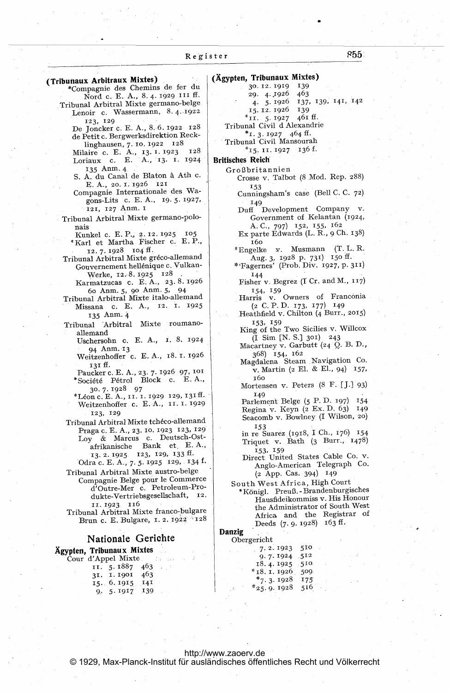|                                                          | (Ägypten, Tribunaux Mixtes)           |
|----------------------------------------------------------|---------------------------------------|
| (Tribunaux Arbitraux Mixtes)                             | 30. 12. 1919<br>139                   |
| *Compagnie des Chemins de fer du                         | 463<br>29.4.1926                      |
| Nord c. E. A., 8.4. 1929 III ff.                         | 137, 139, 141, 142<br>4. 5.1926       |
| Tribunal Arbitral Mixte germano-belge                    | 15.12.1926<br>139                     |
| Lenoir c. Wassermann, 8.4.1922                           | *II. 5.1927 461 ff.                   |
| 123, 129                                                 | Tribunal Civil d Alexandrie           |
| De Joncker c. E. A., 8.6. 1922 128                       |                                       |
| de Petit c. Bergwerksdirektion Reck-                     | $*_1$ , 3, 1927 464 ff.               |
| 128<br>linghausen, 7. 10. 1922                           | Tribunal Civil Mansourah              |
| 128<br>Milaire c. E. A., 13. I. 1923                     | *15. 11. 1927 136 f.                  |
| Loriaux c. E. A., 13. 1. 1924                            | <b>Britisches Reich</b>               |
| 135 Anm. 4                                               | Großbritannien                        |
| S. A. du Canal de Blaton à Ath c.                        | Crosse v. Talbot (8 Mod. Rep. 288)    |
| E. A., 20. I. 1926 121                                   | 153                                   |
| Compagnie Internationale des Wa-                         | Cunningsham's case (Bell C. C. 72)    |
| gons-Lits c. E. A., 19.5.1927,                           | 149                                   |
| 121, 127 Anm. 1                                          | Duff Development Company v.           |
| Tribunal Arbitral Mixte germano-polo-                    | Government of Kelantan (1924,         |
|                                                          | A.C., 797) 152, 155, 162              |
| nais<br>105                                              | Ex parte Edwards (L. R., 9 Ch. 138)   |
| Kunkel c. E. P., 2. 12. 1925                             | 160                                   |
| *Karl et Martha Fischer c. E.P.,                         | *Engelke v. Musmann (T. L. R.         |
| 12.7.1928 104 ff.                                        |                                       |
| Tribunal Arbitral Mixte gréco-allemand                   | Aug. 3, 1928 p. 731) 150 ff.          |
| Gouvernement hellénique c. Vulkan-                       | *'Fagernes' (Prob. Div. 1927, p. 311) |
| Werke, 12.8.1925 128                                     | 144                                   |
| Karmatzucas c. E.A., 23.8.1926                           | Fisher v. Begrez (I Cr. and M., 117)  |
| 60 Anm. 5, 90 Anm. 5, 94                                 | 154, 159                              |
| Tribunal Arbitral Mixte italo-allemand                   | Harris v. Owners of Franconia         |
| Missana c. E. A., 12. 1. 1925                            | (2 C. P. D. I73, I77) I49             |
| 135 Anm. 4                                               | Heathfield v. Chilton (4 Burr., 2015) |
| Mixte roumano-<br>Tribunal Arbitral                      | 153, 159                              |
| allemand                                                 | King of the Two Sicilies v. Willcox   |
| Uschersohn c. E. A., 1. 8. 1924                          | $(I \text{ Sim } [N, S.]$ 301) 243    |
| 94 Anm. 13                                               | Macartney v. Garbutt (24 Q. B. D.,    |
| Weitzenhoffer c. E. A., 18. 1. 1926                      | 368) 154, 162                         |
|                                                          | Magdalena Steam Navigation Co.        |
| 131 ff.<br>Paucker c. E. A., 23. 7. 1926 97, 101         | v. Martin (2 El. & El., 94) 157,      |
| *Société Pétrol Block c. E.A.,                           | 160                                   |
|                                                          | Mortensen v. Peters (8 F. [J.] 93)    |
| 30.7.1928 97<br>*Léon c. E. A., 11. 1. 1929–129, 131 ff. | 149                                   |
| Weitzenhoffer c. E.A., II. I. 1929                       | Parlement Belge (5 P.D. 197) 154      |
|                                                          | Regina v. Keyn (2 Ex. D. 63)<br>149   |
| 123, 129                                                 | Seacomb v. Bowlney (I Wilson, 20)     |
| Tribunal Arbitral Mixte tchéco-allemand                  | 153                                   |
| Praga c. E. A., 23. 10. 1923 123, 129                    | in re Suarez (1918, I Ch., 176) 154   |
| Loy & Marcus c. Deutsch-Ost-                             | Triquet v. Bath (3 Burr., 1478)       |
| afrikanische Bank et E.A.,                               | 153, 159                              |
| 13. 2. 1925 123, 129, 133 ff.                            | Direct United States Cable Co. v.     |
| Odra c. E. A., 7. 5. 1925 129, 134 f.                    | Anglo-American Telegraph Co.          |
| Tribunal Arbitral Mixte austro-belge                     | (2 App. Cas. 394) 149                 |
| Compagnie Belge pour le Commerce                         |                                       |
| d'Outre-Mer c. Petroleum-Pro-                            | South West Africa, High Court         |
| dukte-Vertriebsgesellschaft, 12.                         | *Königl. Preuß.-Brandenburgisches     |
| 11.1923.116                                              | Hausfideikommiss v. His Honour        |
| Tribunal Arbitral Mixte franco-bulgare                   | the Administrator of South West       |
| Brun c. E. Bulgare, 1. 2. 1922 728                       | Africa and the Registrar of           |
|                                                          | Deeds (7.9.1928) 163 ff.              |
|                                                          | Danzig                                |
| Nationale Gerichte                                       | Obergericht                           |
| Ägypten, Tribunaux Mixtes                                | 510<br>7.2.1923                       |
| Cour d'Appel Mixte                                       | 9.7.1924 512                          |
| II. 5.1887<br>463                                        | 18.4.1925 510.                        |
| 31. I. 1901<br>463                                       | * 18. 1. 1926 509                     |
| 15. 6. 1915<br>141                                       | $*_7.3.1928$<br>175                   |
| 139<br>9.5.1917                                          | $*25.9.1928$<br>516                   |
|                                                          |                                       |
|                                                          |                                       |
|                                                          |                                       |
|                                                          |                                       |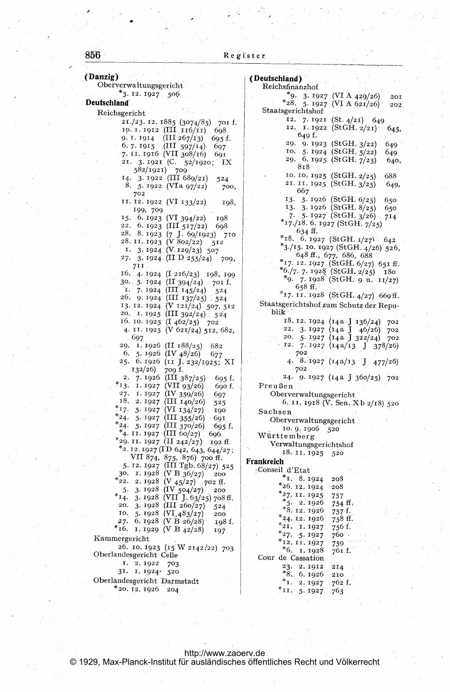# 856

| (Danzig)<br>Oberverwaltungsgericht                                            | (Deutschland)<br>Reichsfinanzhof                                            |
|-------------------------------------------------------------------------------|-----------------------------------------------------------------------------|
| *3. 12. 1927 506                                                              | *9. 3. 1927 (VI A 429/26)<br>201                                            |
| Deutschland                                                                   | *28. 5. 1927 (VI A 621/26)<br>202.                                          |
| Reichsgericht                                                                 | Staatsgerichtshof                                                           |
| 21./23. 12. 1885 (3074/85) 701 f.                                             | 12. 7. 1921 (St. $4/21$ ) 649<br>12. I. 1922 (StGH. 2/21)                   |
| 10. 1. 1912 (III 116/11)<br>698                                               | 645,<br>649 f.                                                              |
| 9. I. 1914 (III 267/13)<br>695 f.<br>6. 7. 1915. (III 597/14)<br>697          | 29. 9. 1923 (StGH. 3/22)<br>649.                                            |
| 7. 11. 1916 (VII 308/16)<br>691                                               | 10. $5.1924$ (StGH. $5/22$ )<br>649.                                        |
| 21. 3. 1921 (C. 52/1920; IX                                                   | 29. 6. 1925 (StGH. 7/23)<br>640,                                            |
| 582/1921) 709                                                                 | 818                                                                         |
| 14. 3. 1922 (III $689/21$ )<br>524                                            | 10. 10. 1925 (StGH. $2/25$ ).<br>688<br>21. II. 1925 (StGH. 3/25)<br>649,   |
| 8. 5. 1922 (VIa 97/22)<br>700,<br>702                                         | 667                                                                         |
| II. I2. I922 (VI 133/22)<br>198,                                              | 13. 3. 1926 (StGH. $6/25$ )<br>650                                          |
| 199, 709                                                                      | 13. 3. 1926 (StGH. 8/25)<br>650                                             |
| 15. 6. 1923 (VI 394/22)<br>198                                                | 7. - 5. 1927 (StGH, $3/26$ )<br>714<br>$*_{17}/_{18}.$ 6. 1927 (StGH. 7/25) |
| 22. 6. 1923 (III 517/22)<br>698                                               | 634 ff.                                                                     |
| 28. 8.1923 (7 J. 69/1923)<br>710<br>28. II. 1923 (V 802/22)                   | *18. 6. 1927 (StGH. 1/27) 642                                               |
| 512<br>1. 3. 1924 (V. 129/23) 507                                             | *3./15. 10. 1927 (StGH. 4/26) 526,                                          |
| 27. 3. 1924 (II D 255/24)<br>709,                                             | 648 ff., 677, 686, 688                                                      |
| 71I.                                                                          | *17. 12. 1927 (StGH. 6/27) 651 ff.                                          |
| 16. 4. 1924 (I 216/23) 198, 199                                               | $*6./7.7.1928$ (StGH. 2/25)<br>180<br>*9. 7.1928 (StGH. 9 u. 11/27)         |
| 30. 5. 1924 (II 394/24) 701 f.                                                | 658 ff.                                                                     |
| I. 7. 1924 (III 145/24)<br>$-524$<br>26. 9.1924 (III 137/25) 524              | *17. 11. 1928 (StGH. 4/27) 669 ff.                                          |
| 13. 12. 1924 (V 121/24) 507, 512                                              | Staatsgerichtshof zum Schutz der Repu-                                      |
| 20. I. 1925 (III 392/24) 524                                                  | blik                                                                        |
| 16. 10. 1925 (I $462/25$ ) 702                                                | 18. 12. 1924 (14a J 136/24)<br>702                                          |
| 4. II. 1925 (V 621/24) 512, 682,                                              | 22. 3. 1927 (14a J 46/26) 702                                               |
| 697                                                                           | 20. 5.1927 (14a J 322/24)<br>702                                            |
| 29. 1. 1926 (II $188/25$ )<br>682<br>6. 5. 1926 (IV $48/26$ )<br>677          | 12.7.1927 (14a/13 J 378/26)<br>702                                          |
| 25. 6. 1926 (11 J. 232/1925; XI                                               | 4. 8. 1927 (14a/13 J 477/26)                                                |
| 709 f.<br>132/26)                                                             | 702                                                                         |
| 2. 7.1926 (III 387/25)<br>695 f.                                              | 24. 9.1927 (14a J 360/25) 702                                               |
| *13. 1. 1927 (VII 93/26)<br>. 690 f.                                          | Preußen                                                                     |
| 27. I. 1927 (IV 359/26)<br>697<br>18. 2. 1927 (III 140/26)                    | Oberverwaltungsgericht                                                      |
| 525<br>*17. 5. 1927 (VI 134/27)<br>190                                        | 6. 11. 1918 (V. Sen. Xb 2/18) 520<br>Sachsen                                |
| *24. 5. 1927 (III 355/26) 691                                                 | Oberverwaltungsgericht                                                      |
| $*_{24.}$ 5. 1927 (III 370/26)<br>695 f.                                      | 10.9.1906<br>-520                                                           |
| *4. II. 1927 (III 60/27) 696                                                  | Württemberg                                                                 |
| $*$ 29. 11. 1927 (II 242/27) 192 ff.<br>$*_{2.12.1927}$ (ID 642, 643, 644/27; | Verwaltungsgerichtshof                                                      |
| VII 874, 875, 876) 700 ff.                                                    | 18. 11. 1925<br>520                                                         |
| 5. 12. 1927 (III Tgb. 68/27) 525                                              | Frankreich                                                                  |
| 30. I. 1928 (V B 36/27)<br>200                                                | Conseil d'Etat                                                              |
| *22. 2.1928 (V 45/27) 702 ff.                                                 | *1. 8.1924<br>208<br>$*26.12.1924$<br>208                                   |
| 5. 3. 1928 (IV 504/27)<br>200                                                 | *27, 11. 1925<br>757                                                        |
| *14. 3. 1928 (VII J. 63/25) 708 ff.<br>20. 3. 1928 (III 260/27)<br>524        | $*_{5.}2.1926$<br>754 ff.                                                   |
| 10. $5.1928$ (VI $483/27$ )<br>200                                            | $*8.12.1926$<br>757 f.                                                      |
| 27. 6. 1928 (V B 26/28)<br>198 f.                                             | $*24.12.1926$<br>758 ff.                                                    |
| *16. 1. 1929 (V B $42/28$ )<br>197                                            | $*_{21.}$ 1.1927<br>756 f.<br>$*27.5.1927$<br>760 ·                         |
| Kammergericht                                                                 | *12.11.1927<br>759                                                          |
| 26. 10. 1923 (15 W 2142/22) 703                                               | $*6.$ I. 1928<br>761 f.                                                     |
| Oberlandesgericht Celle                                                       | Cour de Cassation                                                           |
| 1. 2.1922<br>703<br>31. 1. 1924. 520                                          | 23. 2.1912<br>214                                                           |
| Oberlandesgericht Darmstadt                                                   | $*8.6.1926$<br>210                                                          |
| *20.12.1926<br>204                                                            | $*_{1.2.1927}$<br>762 f.<br>*II. 5.1927<br>763                              |
|                                                                               |                                                                             |

http://www.zaoerv.de<br>© 1929, Max-Planck-Institut für ausländisches öffentliches Recht und Völkerrecht